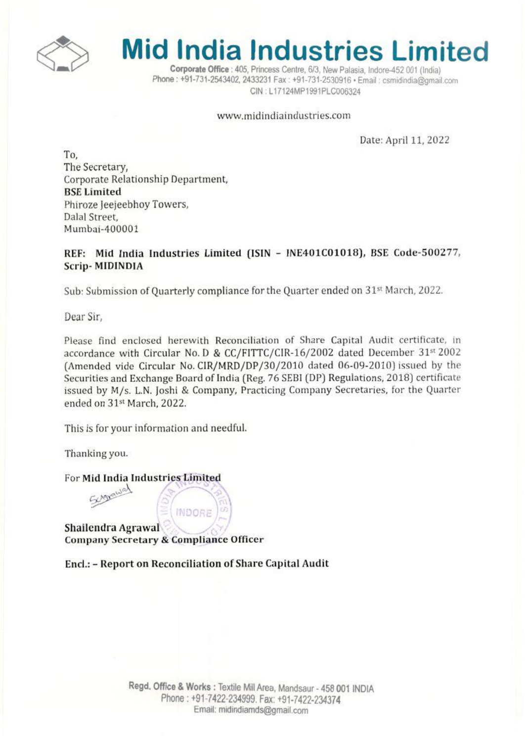

## **Mid India Industries Limited**

**Corporate Office**: 405. Princess Centre, 6/3. New Palasia. Indore-452001 (India). Phone : +91-731-2543402, 2433231 Fax : +91-731-2530916 · Email : csmidindia@omail.com CIN: L17124MP1991PLC006324

#### www.midindiaindustries.com

Date: April 11.2022

To. The Secretary, Corporate Relationship Department, **BSE** Limited Phiroze Jeejeebhoy Towers, Dalal Street.  $Mumbai-400001$ 

#### REF: Mid India Industries Limited (ISIN - INE401C01018), BSE Code-500277, Scrip- MIDINDIA

Sub: Submission of Quarterly compliance for the Quarter ended on 31" March, *2021.*

Dear Sir,

Please find enclosed herewith Reconciliation of Share Capital Audit certificate, in accordance with Circular No. D & CC/FITTC/CIR-16/2002 dated December 31st 2002 (Amended vide Circular No. CIR/MRD/DP/30/2010 dated 06-09-2010) issued by the Securities and Exchange Board of India (Reg. 76 SEBI(DP) Regulations. 2018) certificate issued by M/s. L.N. Joshi & Company, Practicing Company Secretaries, for the Quarter ended on 31st March. 2022.

This is for your information and needful.

Thanking you.

For Mid India Industries Limited Sergeaual

Shallendra Agrawal Company Secretary & Compliance Officer

Encl.: - Report on Reconciliation of Share Capital Audit

**INDORF**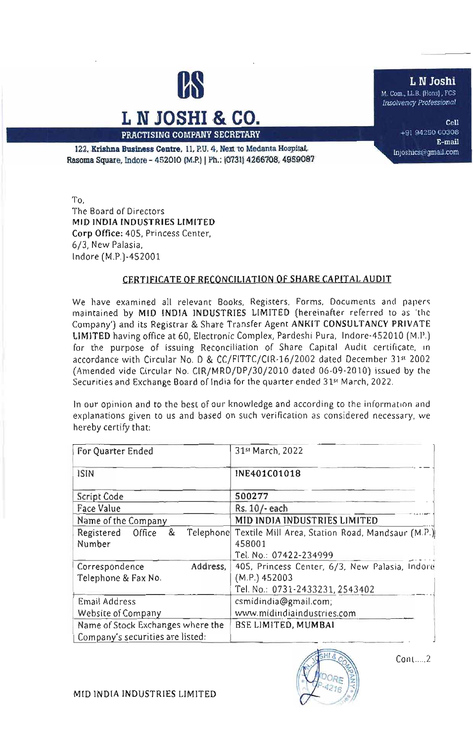

# L **N JOSHI & CO.**

lnioshics@gmail.com 122. Krishna Business Centre. 11, P.U. 4, Next to Medanta Hospital, 122. Krishna Business Centre. 11, P.U. 4, Next to Medanta Hospital, Rasoma Square, Indore - 452010 (M.P.) | Ph.: (0731) 4266708, 4959087

To, The Board of Directors MID INDIA INDUSTRIES LIMITED Corp Office: 405, Princess Center, 6/3, New Palasia, Indore (M.P.)-452001

#### CERTIFICATE OF RECONCILIATION Of SHARE CAPITAL AUDIT

We have examined all relevant Books, Registers, Forms, Documents and papers maintained by MID INDIA INDUSTRIES LIMITED (hereinafter referred to as 'the Company') and its Registrar & Share Transfer Agent ANKfT CONSULTANCY PRIVATE LIMITED having office at 60, Electronic Complex, Pardeshi Pura, Indore-452010 (M.P.) for the purpose of issuing Reconciliation of Share Capital Audit certificate, in accordance with Circular No. D & CC/FITTC/CIR-16/2002 dated December 31st 2002 (Amended vide Circular No. CIR/MRD/DPj30j2010 dated 06-09·2010) issued by (he Securities and Exchange Board of India for the quarter ended 31<sup>st</sup> March, 2022.

In our opinion and to the best of our knowledge and according to the information and explanations given to us and based on such verification as considered necessary, we hereby certify that:

| For Quarter Ended                                                     |           | 31st March, 2022                                                                                   |  |
|-----------------------------------------------------------------------|-----------|----------------------------------------------------------------------------------------------------|--|
| <b>ISIN</b>                                                           |           | INE401C01018                                                                                       |  |
| Script Code                                                           |           | 500277                                                                                             |  |
| Face Value                                                            |           | Rs. 10/-each                                                                                       |  |
| Name of the Company                                                   |           | MID INDIA INDUSTRIES LIMITED                                                                       |  |
| &<br>Registered<br>Office<br>Number                                   | Telephone | Textile Mill Area, Station Road, Mandsaur (M.P.)<br>458001                                         |  |
|                                                                       |           | Tel. No.: 07422-234999                                                                             |  |
| Correspondence<br>Address,<br>Telephone & Fax No.                     |           | 405, Princess Center, 6/3, New Palasia, Indore<br>(M.P.) 452003<br>Tel. No.: 0731-2433231, 2543402 |  |
| Email Address                                                         |           | csmidindia@gmail.com;                                                                              |  |
| <b>Website of Company</b>                                             |           | www.midindiaindustries.com                                                                         |  |
| Name of Stock Exchanges where the<br>Company's securities are listed: |           | BSE LIMITED, MUMBAI                                                                                |  |



Cont. ....2

MfO INDIA INDUSTRIES LIMITED

M. Com., LLB. (Hons), FCS

*Ll1solvenq Professional* L N Josh<br>M. Com., LLB. (Hons), FC<br>Insolvency Professional

> Cell +91 94250 60308 E-mail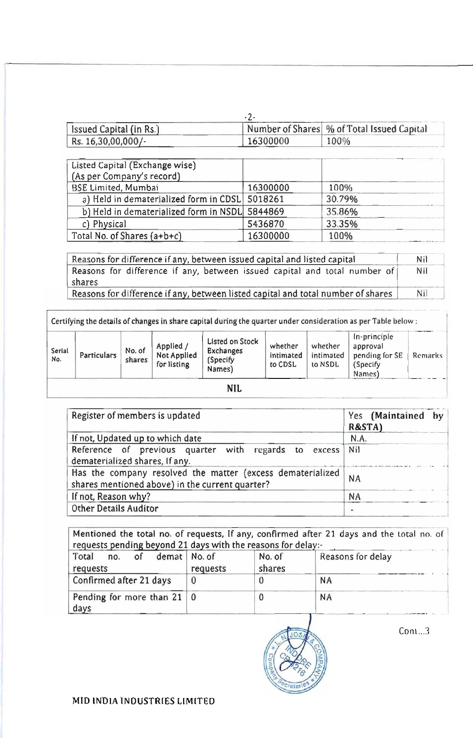| Sissued Capital (in Rs.) |          | Number of Shares \% of Total Issued Capital |
|--------------------------|----------|---------------------------------------------|
| Rs. 16,30,00,000/-       | 16300000 | 100%                                        |

| Listed Capital (Exchange wise)                 |          |        |
|------------------------------------------------|----------|--------|
| (As per Company's record)                      |          |        |
| <b>BSE Limited, Mumbai</b>                     | 16300000 | 100%   |
| a) Held in dematerialized form in CDSL 5018261 |          | 30.79% |
| b) Held in dematerialized form in NSDL 5844869 |          | 35.86% |
| c) Physical                                    | 5436870  | 33.35% |
| Total No. of Shares (a+b+c)                    | 16300000 | 100%   |

| Reasons for difference if any, between issued capital and listed capital<br>Reasons for difference if any, between issued capital and total number of<br>shares |  |
|-----------------------------------------------------------------------------------------------------------------------------------------------------------------|--|
|                                                                                                                                                                 |  |

Certifying the details of changes in share capital during the quarter under consideration as per Table below:

| Serial<br>No. | Particulars | No. of<br>shares | Applied<br>Not Applied<br>for listing | Listed on Stock<br><b>Exchanges</b><br>(Specify)<br>Names) | whether<br>intimated<br>to CDSL | whether<br>intimated<br>to NSDL | In-principle<br>approval<br>pending for SE<br>(Specify<br>Names) | Remarks |
|---------------|-------------|------------------|---------------------------------------|------------------------------------------------------------|---------------------------------|---------------------------------|------------------------------------------------------------------|---------|
|               |             |                  |                                       | <b>NIL</b>                                                 |                                 |                                 |                                                                  |         |

| Register of members is updated                                                                                | Yes (Maintained by<br>R&STA) |
|---------------------------------------------------------------------------------------------------------------|------------------------------|
| If not, Updated up to which date                                                                              | N.A.                         |
| Reference of previous quarter with regards to excess<br>dematerialized shares, If any.                        | <b>Nil</b>                   |
| Has the company resolved the matter (excess dematerialized<br>shares mentioned above) in the current quarter? | <b>NA</b>                    |
| If not, Reason why?                                                                                           | <b>NA</b>                    |
| Other Details Auditor                                                                                         |                              |

| requests pending beyond 21 days with the reasons for delay:- |          |                  | Mentioned the total no. of requests, If any, confirmed after 21 days and the total no. of |
|--------------------------------------------------------------|----------|------------------|-------------------------------------------------------------------------------------------|
| Total<br>demat   No. of<br>0f<br>no.<br>requests             | requests | No. of<br>shares | Reasons for delay                                                                         |
| Confirmed after 21 days                                      | $\theta$ |                  | NA                                                                                        |
| Pending for more than $21 \mid 0$<br>days                    |          |                  | <b>NA</b>                                                                                 |



 $Conn...3$ 

MID INDIA INDUSTRIES LIMITED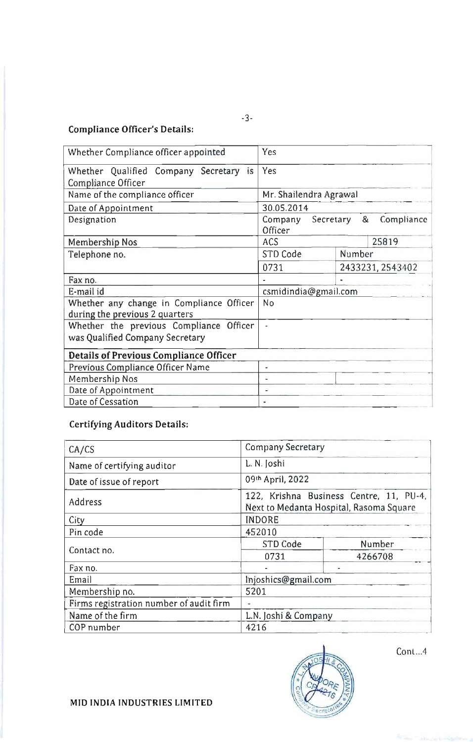## Compliance Officer's Details:

| Whether Compliance officer appointed                                       | Yes                                       |  |
|----------------------------------------------------------------------------|-------------------------------------------|--|
| Whether Qualified Company Secretary is<br>Compliance Officer               | Yes                                       |  |
| Name of the compliance officer                                             | Mr. Shailendra Agrawal                    |  |
| Date of Appointment                                                        | 30.05.2014                                |  |
| Designation                                                                | Company Secretary & Compliance<br>Officer |  |
| Membership Nos                                                             | 25819<br>ACS                              |  |
| Telephone no.                                                              | Number<br>STD Code                        |  |
|                                                                            | 0731<br>2433231, 2543402                  |  |
| Fax no.                                                                    | ٠                                         |  |
| E-mail id                                                                  | csmidindia@gmail.com                      |  |
| Whether any change in Compliance Officer<br>during the previous 2 quarters | No                                        |  |
| Whether the previous Compliance Officer<br>was Qualified Company Secretary |                                           |  |
| <b>Details of Previous Compliance Officer</b>                              |                                           |  |
| Previous Compliance Officer Name                                           |                                           |  |
| Membership Nos                                                             | -                                         |  |
| Date of Appointment                                                        | ۰                                         |  |
| Date of Cessation                                                          |                                           |  |

-3-

## Certifying Auditors Details:

| CA/CS                                   | <b>Company Secretary</b>                                                           |  |  |
|-----------------------------------------|------------------------------------------------------------------------------------|--|--|
| Name of certifying auditor              | L. N. Joshi                                                                        |  |  |
| Date of issue of report                 | 09th April, 2022                                                                   |  |  |
| Address                                 | 122, Krishna Business Centre, 11, PU-4,<br>Next to Medanta Hospital, Rasoma Square |  |  |
| City                                    | <b>INDORE</b>                                                                      |  |  |
| Pin code                                | 452010                                                                             |  |  |
| Contact no.                             | Number<br>STD Code                                                                 |  |  |
|                                         | 0731<br>4266708                                                                    |  |  |
| Fax no.                                 |                                                                                    |  |  |
| Email                                   | Injoshics@gmail.com                                                                |  |  |
| Membership no.                          | 5201                                                                               |  |  |
| Firms registration number of audit firm |                                                                                    |  |  |
| Name of the firm                        | L.N. Joshi & Company                                                               |  |  |
| COP number                              | 4216                                                                               |  |  |



Conl. ..4

MID INDIA INDUSTRIES LIMITED